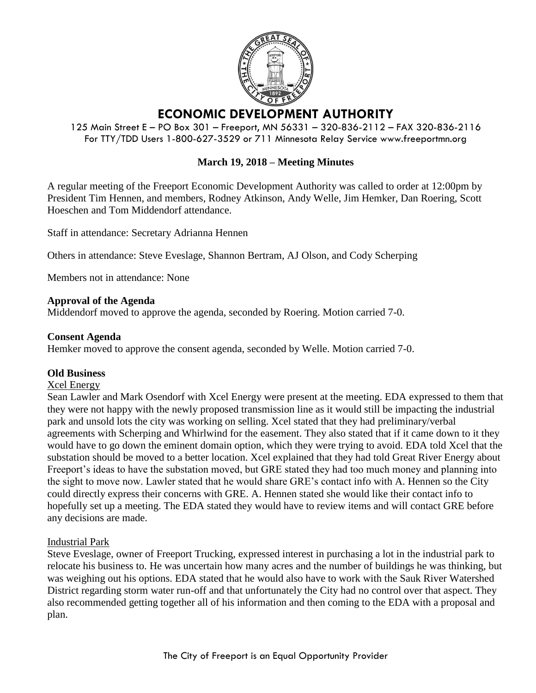

# **ECONOMIC DEVELOPMENT AUTHORITY**

125 Main Street E – PO Box 301 – Freeport, MN 56331 – 320-836-2112 – FAX 320-836-2116 For TTY/TDD Users 1-800-627-3529 or 711 Minnesota Relay Service www.freeportmn.org

## **March 19, 2018 – Meeting Minutes**

A regular meeting of the Freeport Economic Development Authority was called to order at 12:00pm by President Tim Hennen, and members, Rodney Atkinson, Andy Welle, Jim Hemker, Dan Roering, Scott Hoeschen and Tom Middendorf attendance.

Staff in attendance: Secretary Adrianna Hennen

Others in attendance: Steve Eveslage, Shannon Bertram, AJ Olson, and Cody Scherping

Members not in attendance: None

#### **Approval of the Agenda**

Middendorf moved to approve the agenda, seconded by Roering. Motion carried 7-0.

## **Consent Agenda**

Hemker moved to approve the consent agenda, seconded by Welle. Motion carried 7-0.

#### **Old Business**

#### Xcel Energy

Sean Lawler and Mark Osendorf with Xcel Energy were present at the meeting. EDA expressed to them that they were not happy with the newly proposed transmission line as it would still be impacting the industrial park and unsold lots the city was working on selling. Xcel stated that they had preliminary/verbal agreements with Scherping and Whirlwind for the easement. They also stated that if it came down to it they would have to go down the eminent domain option, which they were trying to avoid. EDA told Xcel that the substation should be moved to a better location. Xcel explained that they had told Great River Energy about Freeport's ideas to have the substation moved, but GRE stated they had too much money and planning into the sight to move now. Lawler stated that he would share GRE's contact info with A. Hennen so the City could directly express their concerns with GRE. A. Hennen stated she would like their contact info to hopefully set up a meeting. The EDA stated they would have to review items and will contact GRE before any decisions are made.

#### Industrial Park

Steve Eveslage, owner of Freeport Trucking, expressed interest in purchasing a lot in the industrial park to relocate his business to. He was uncertain how many acres and the number of buildings he was thinking, but was weighing out his options. EDA stated that he would also have to work with the Sauk River Watershed District regarding storm water run-off and that unfortunately the City had no control over that aspect. They also recommended getting together all of his information and then coming to the EDA with a proposal and plan.